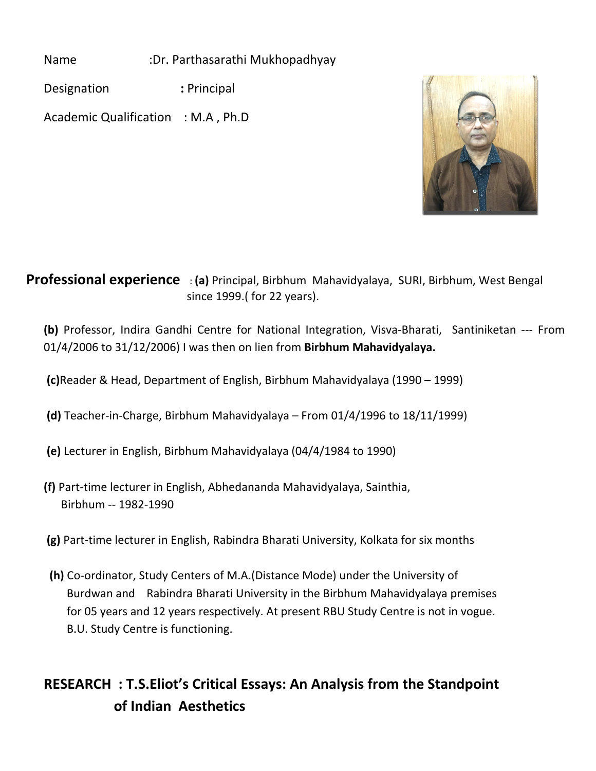Name :Dr. Parthasarathi Mukhopadhyay

Designation **:** Principal

Academic Qualification : M.A , Ph.D



## **Professional experience** : **(a)** Principal, Birbhum Mahavidyalaya, SURI, Birbhum, West Bengal since 1999.( for 22 years).

**(b)** Professor, Indira Gandhi Centre for National Integration, Visva-Bharati, Santiniketan --- From 01/4/2006 to 31/12/2006) I was then on lien from **Birbhum Mahavidyalaya.**

 **(c)**Reader & Head, Department of English, Birbhum Mahavidyalaya (1990 – 1999)

- **(d)** Teacher-in-Charge, Birbhum Mahavidyalaya From 01/4/1996 to 18/11/1999)
- **(e)** Lecturer in English, Birbhum Mahavidyalaya (04/4/1984 to 1990)
- **(f)** Part-time lecturer in English, Abhedananda Mahavidyalaya, Sainthia, Birbhum -- 1982-1990
- **(g)** Part-time lecturer in English, Rabindra Bharati University, Kolkata for six months
- **(h)** Co-ordinator, Study Centers of M.A.(Distance Mode) under the University of Burdwan and Rabindra Bharati University in the Birbhum Mahavidyalaya premises for 05 years and 12 years respectively. At present RBU Study Centre is not in vogue. B.U. Study Centre is functioning.

## **RESEARCH : T.S.Eliot's Critical Essays: An Analysis from the Standpoint of Indian Aesthetics**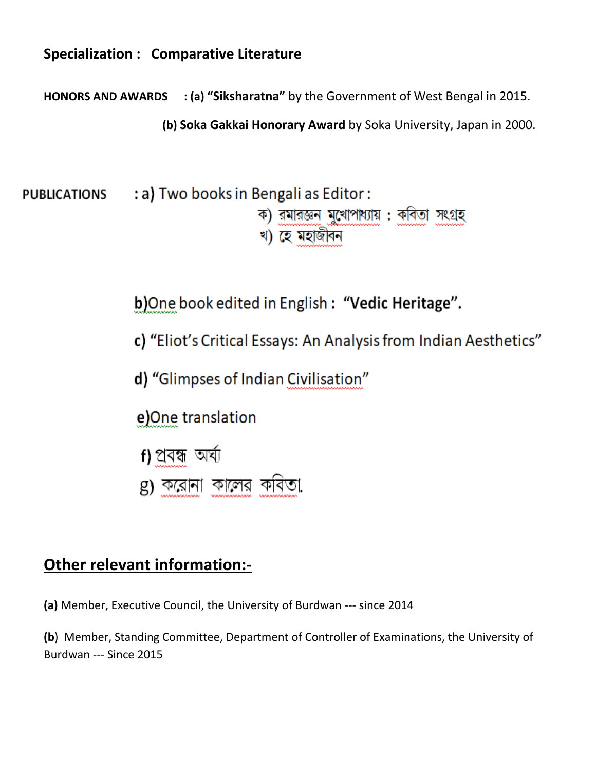## **Specialization : Comparative Literature**

**HONORS AND AWARDS : (a) "Siksharatna"** by the Government of West Bengal in 2015.

 **(b) Soka Gakkai Honorary Award** by Soka University, Japan in 2000.

: a) Two books in Bengali as Editor: **PUBLICATIONS** ক) রমারজ্ঞন মুখোপাধ্যায় : কবিতা সংগ্রহ খ) হে মহাজীবন

**b)**One book edited in English **: "Vedic Heritage".**

 **c) "**Eliot's Critical Essays: An Analysis from Indian Aesthetics"

 **d) "**Glimpses of Indian Civilisation"

 **e)**One translation

- **f)** fËhå AOÑÉ **f)** প্ৰবন্ধ অৰ্ঘ্য
- g) করোনা কালের কবিতা

## **Other relevant information:-**

**(a)** Member, Executive Council, the University of Burdwan --- since 2014

**(b**) Member, Standing Committee, Department of Controller of Examinations, the University of Burdwan --- Since 2015